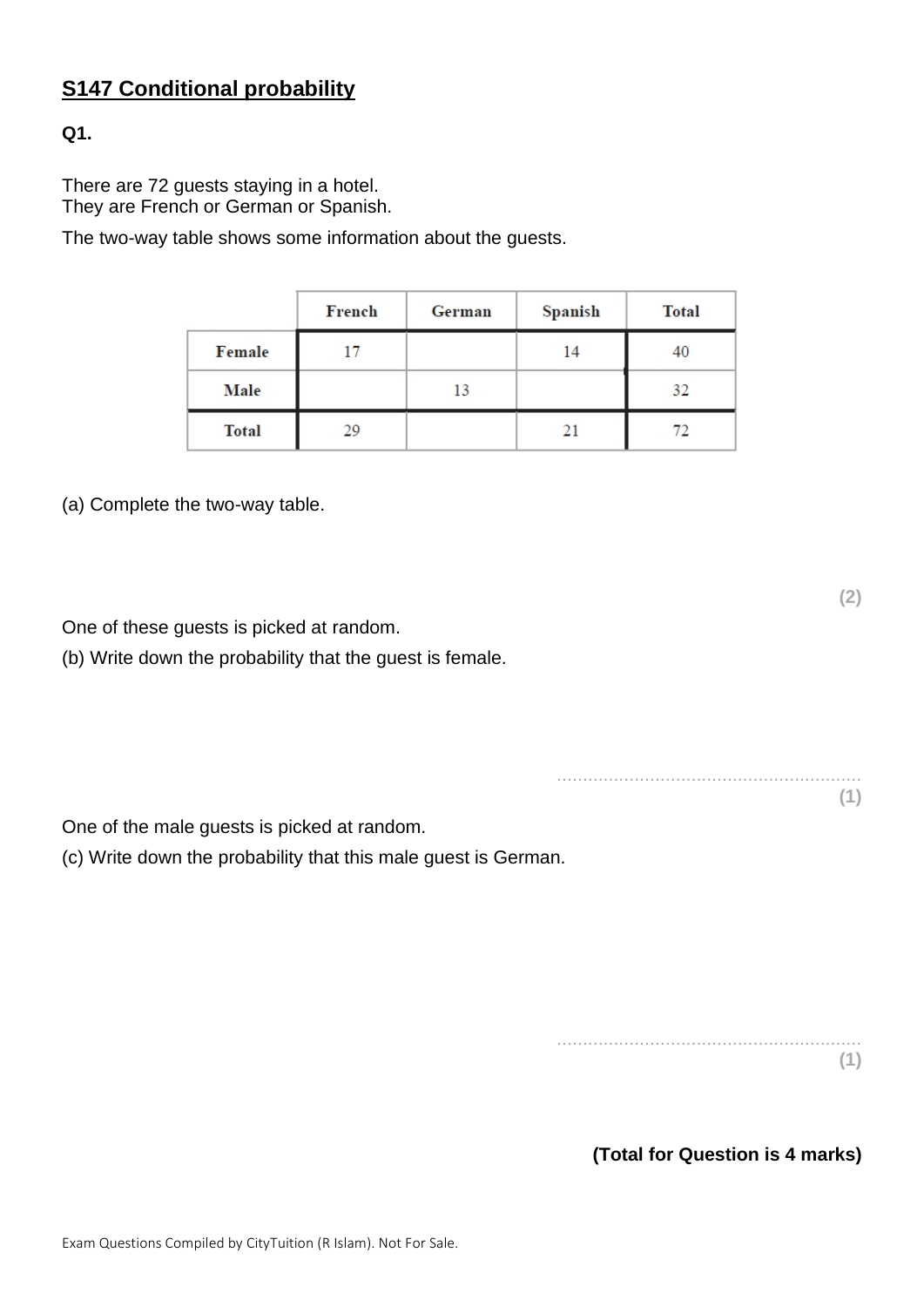# **S147 Conditional probability**

## **Q1.**

There are 72 guests staying in a hotel. They are French or German or Spanish.

The two-way table shows some information about the guests.

|              | French | German | Spanish | <b>Total</b> |
|--------------|--------|--------|---------|--------------|
| Female       | 17     |        | 14      | 40           |
| <b>Male</b>  |        | 13     |         | 32           |
| <b>Total</b> | 29     |        | 21      | 72           |

(a) Complete the two-way table.

One of these guests is picked at random.

(b) Write down the probability that the guest is female.

One of the male guests is picked at random.

(c) Write down the probability that this male guest is German.

........................................................... **(1)**

**(2)**

**(Total for Question is 4 marks)**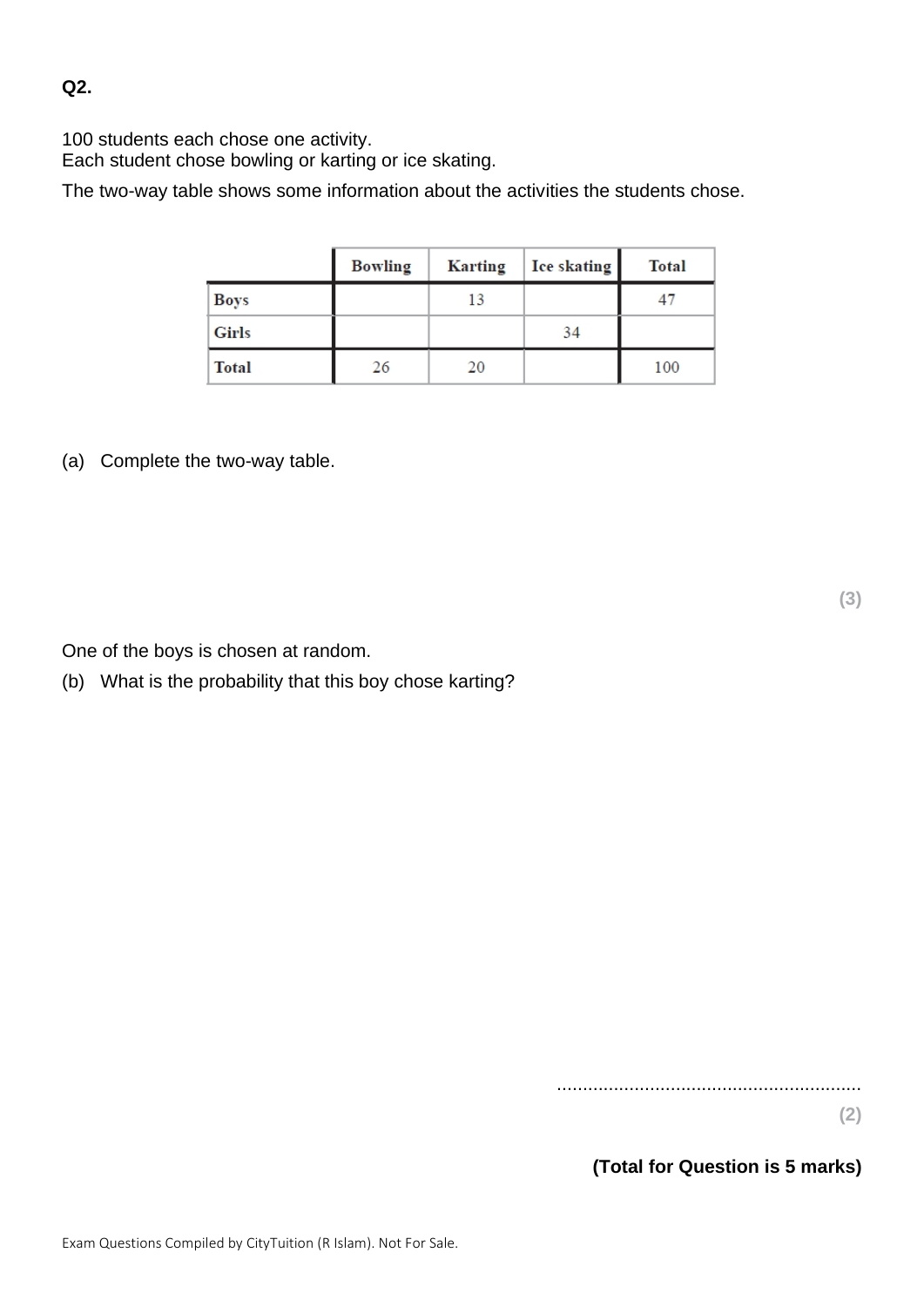**Q2.**

100 students each chose one activity.

Each student chose bowling or karting or ice skating.

The two-way table shows some information about the activities the students chose.

|              | <b>Bowling</b> | <b>Karting</b> | Ice skating | <b>Total</b> |
|--------------|----------------|----------------|-------------|--------------|
| <b>Boys</b>  |                | 13             |             |              |
| <b>Girls</b> |                |                | 34          |              |
| <b>Total</b> | 26             | 20             |             | 100          |

(a) Complete the two-way table.

One of the boys is chosen at random.

(b) What is the probability that this boy chose karting?

...........................................................

**(2)**

**(Total for Question is 5 marks)**

**(3)**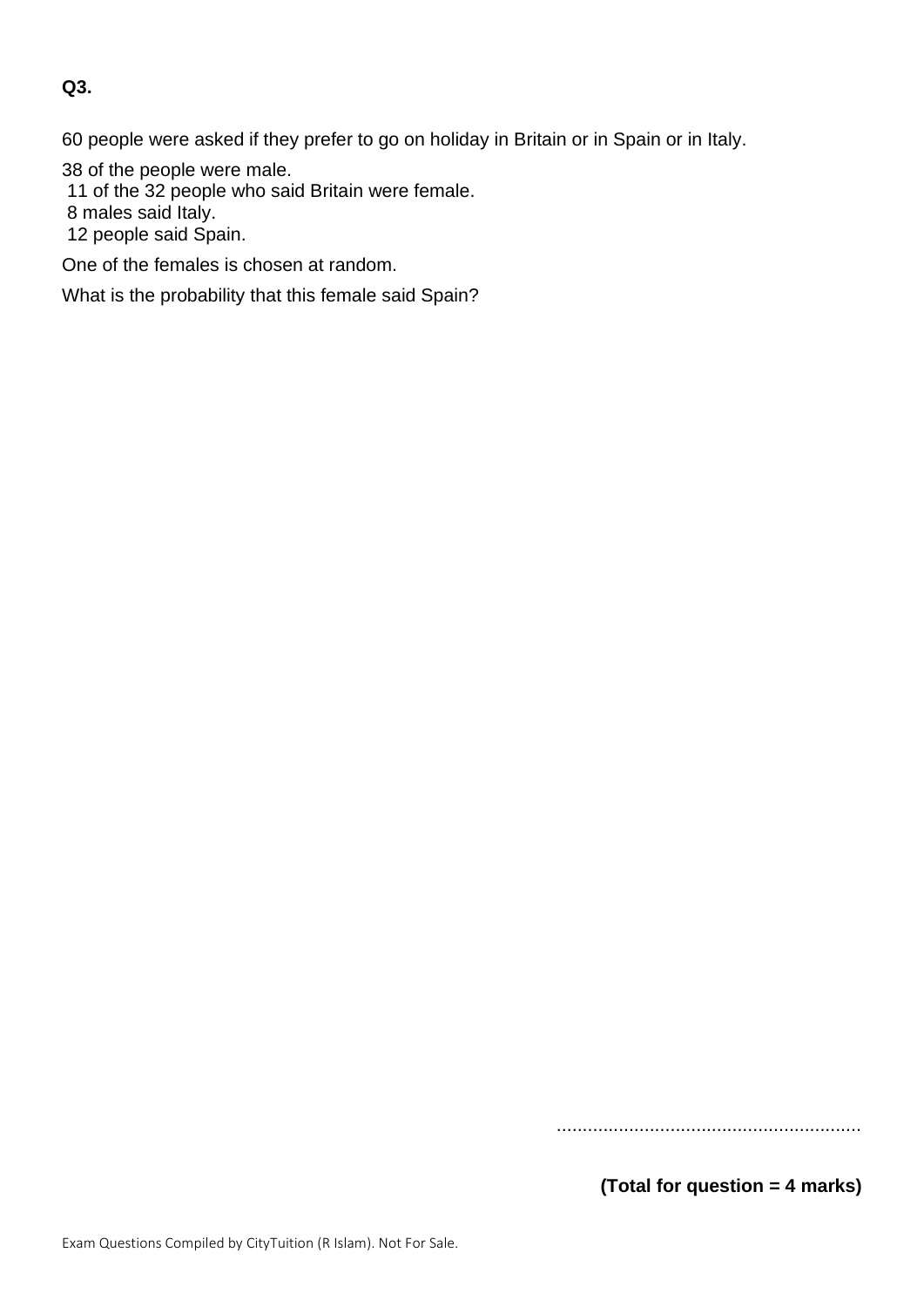### **Q3.**

60 people were asked if they prefer to go on holiday in Britain or in Spain or in Italy.

38 of the people were male.

11 of the 32 people who said Britain were female.

8 males said Italy.

12 people said Spain.

One of the females is chosen at random.

What is the probability that this female said Spain?

...........................................................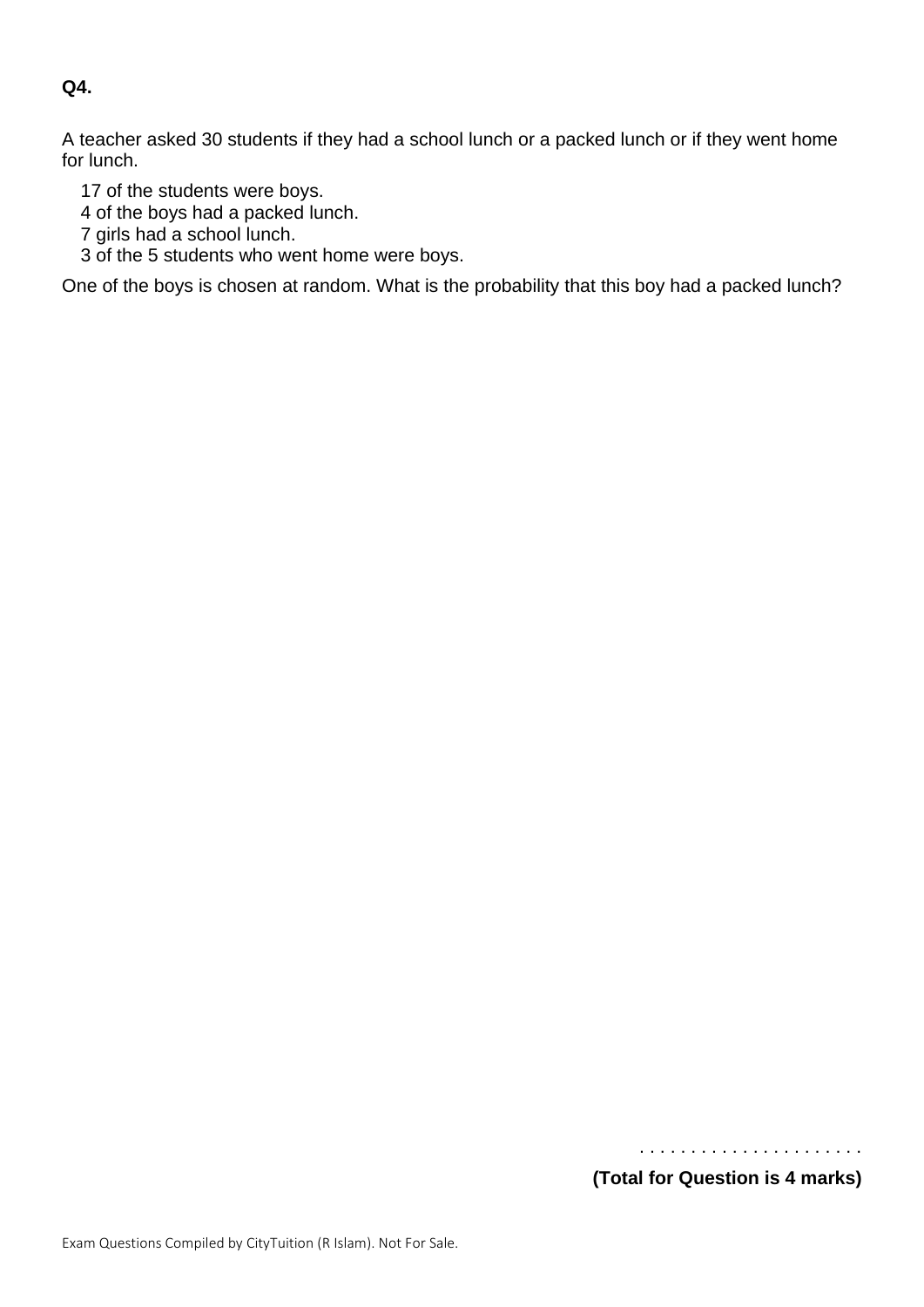#### **Q4.**

A teacher asked 30 students if they had a school lunch or a packed lunch or if they went home for lunch.

17 of the students were boys.

4 of the boys had a packed lunch.

7 girls had a school lunch.

3 of the 5 students who went home were boys.

One of the boys is chosen at random. What is the probability that this boy had a packed lunch?

 . . . . . . . . . . . . . . . . . . . . . . **(Total for Question is 4 marks)**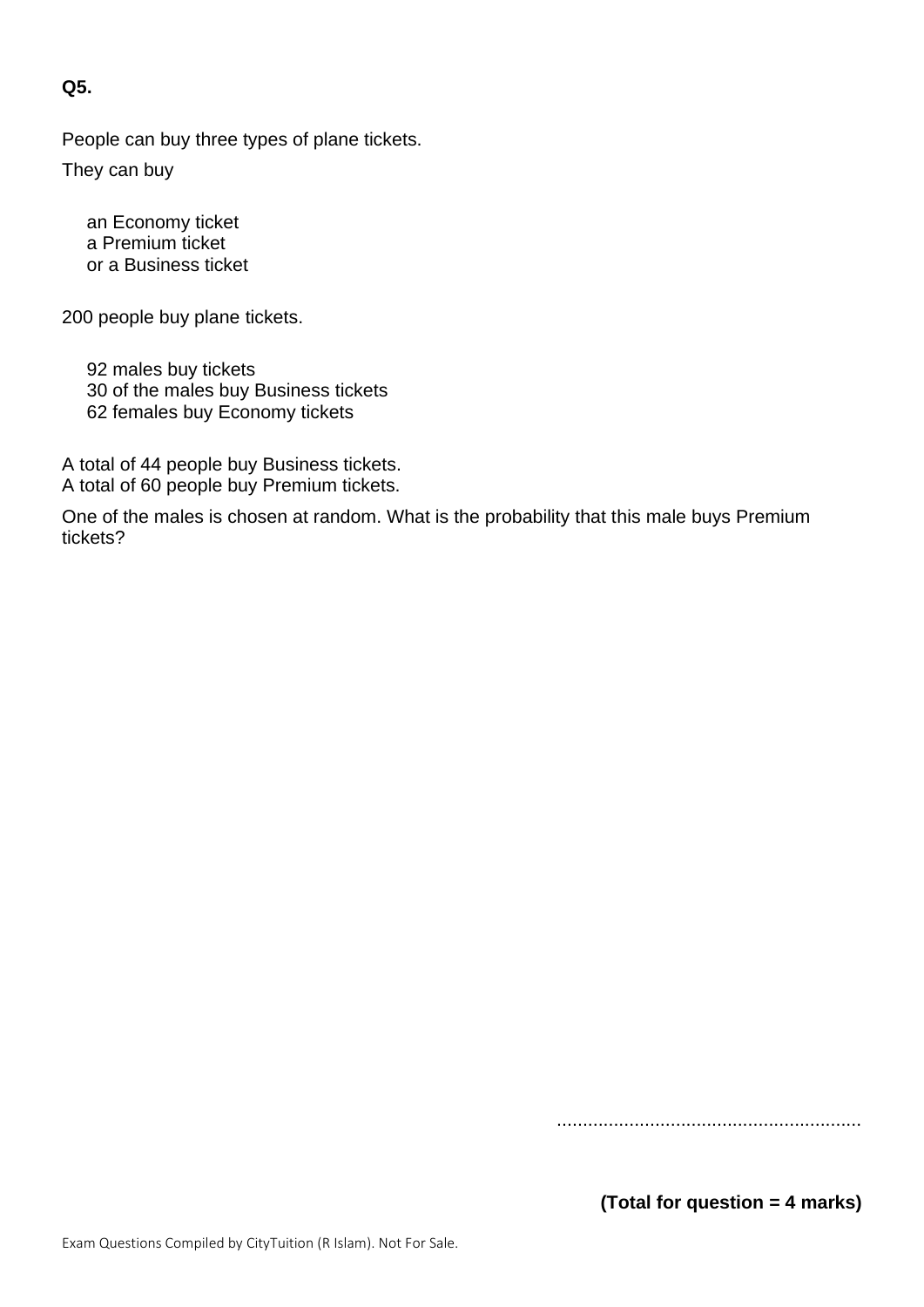**Q5.**

People can buy three types of plane tickets.

They can buy

an Economy ticket a Premium ticket or a Business ticket

200 people buy plane tickets.

92 males buy tickets 30 of the males buy Business tickets 62 females buy Economy tickets

A total of 44 people buy Business tickets. A total of 60 people buy Premium tickets.

One of the males is chosen at random. What is the probability that this male buys Premium tickets?

...........................................................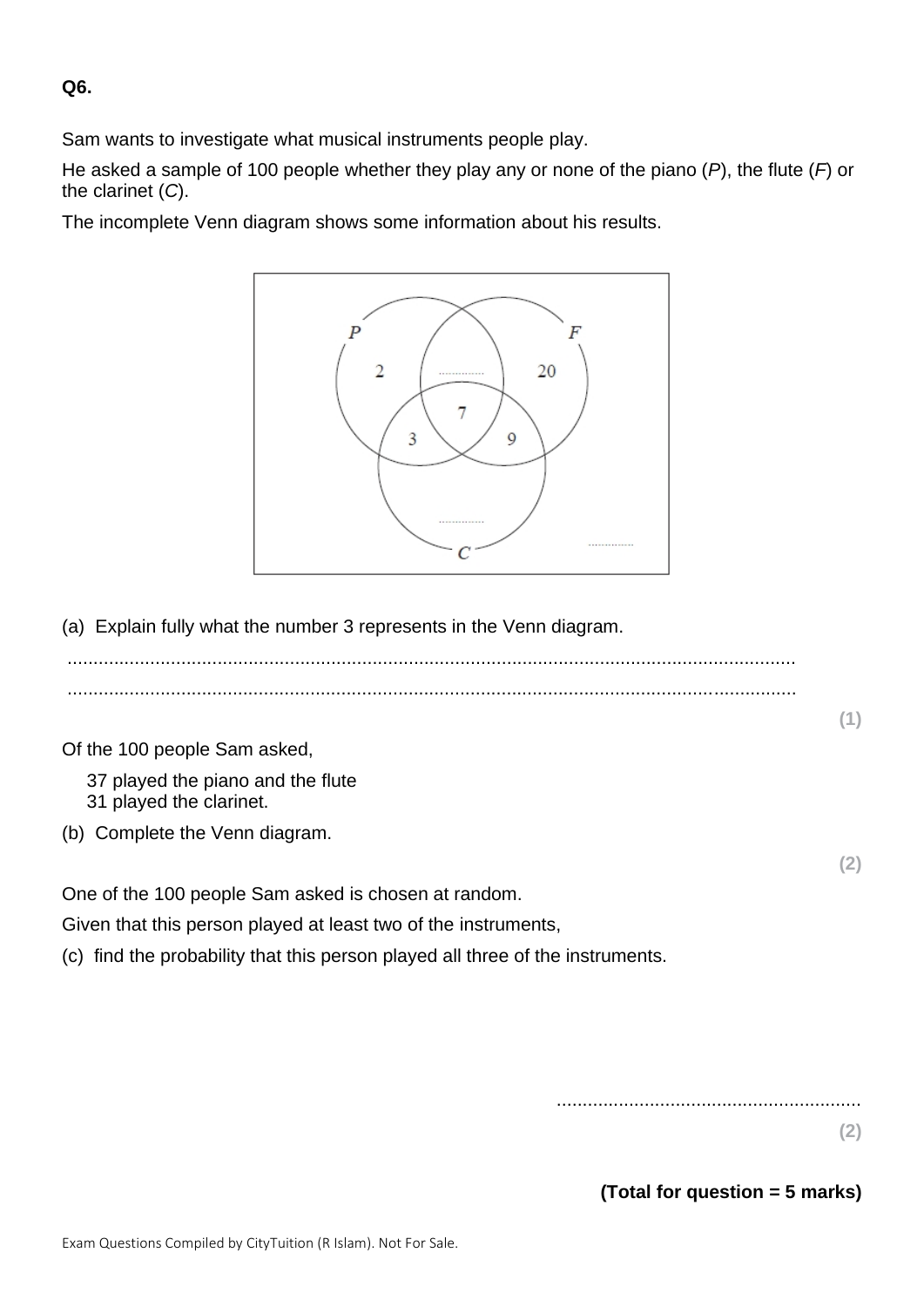**Q6.**

Sam wants to investigate what musical instruments people play.

He asked a sample of 100 people whether they play any or none of the piano (*P*), the flute (*F*) or the clarinet (*C*).

The incomplete Venn diagram shows some information about his results.



(a) Explain fully what the number 3 represents in the Venn diagram.

| Of the 100 people Sam asked,                                                   |     |
|--------------------------------------------------------------------------------|-----|
| 37 played the piano and the flute<br>31 played the clarinet.                   |     |
| (b) Complete the Venn diagram.                                                 |     |
|                                                                                | (2) |
| One of the 100 people Sam asked is chosen at random.                           |     |
| Given that this person played at least two of the instruments,                 |     |
| (c) find the probability that this person played all three of the instruments. |     |

...........................................................

**(2)**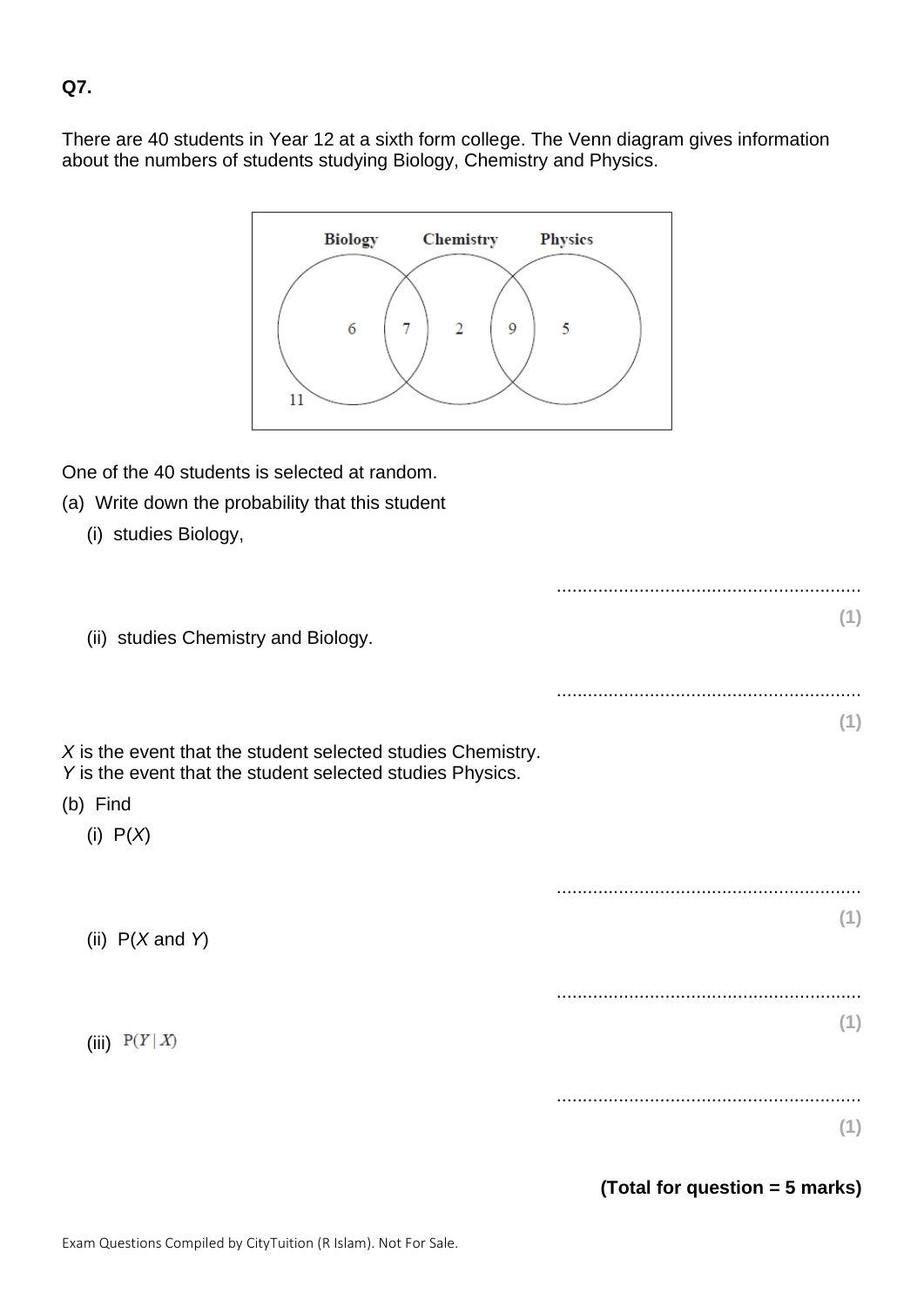## **Q7.**

There are 40 students in Year 12 at a sixth form college. The Venn diagram gives information about the numbers of students studying Biology, Chemistry and Physics.



One of the 40 students is selected at random.

- (a) Write down the probability that this student
	- (i) studies Biology,

| (ii) studies Chemistry and Biology.                         | (1)                            |
|-------------------------------------------------------------|--------------------------------|
|                                                             |                                |
|                                                             |                                |
| X is the event that the student selected studies Chemistry. | (1)                            |
| Y is the event that the student selected studies Physics.   |                                |
| (b) Find                                                    |                                |
| (i) $P(X)$                                                  |                                |
|                                                             |                                |
|                                                             | (1)                            |
| (ii) $P(X \text{ and } Y)$                                  |                                |
|                                                             |                                |
|                                                             |                                |
| (iii) $P(Y X)$                                              | (1)                            |
|                                                             |                                |
|                                                             | (1)                            |
|                                                             | (Total for question = 5 marks) |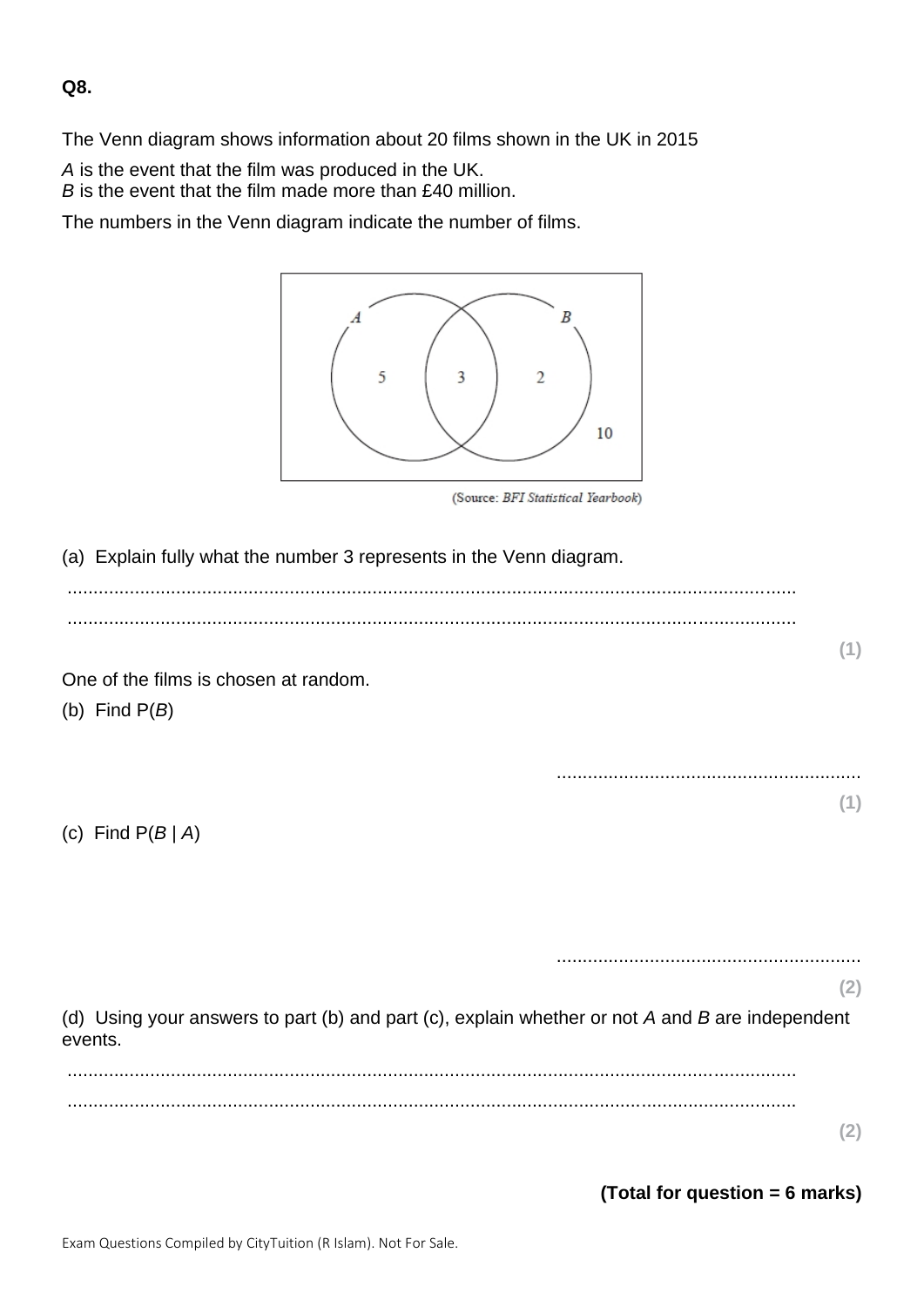**Q8.**

The Venn diagram shows information about 20 films shown in the UK in 2015

*A* is the event that the film was produced in the UK.

*B* is the event that the film made more than £40 million.

The numbers in the Venn diagram indicate the number of films.



(Source: BFI Statistical Yearbook)

(a) Explain fully what the number 3 represents in the Venn diagram.

............................................................................................................................................. .............................................................................................................................................

One of the films is chosen at random.

(b) Find P(*B*)

(c) Find P(*B* | *A*)

...........................................................

...........................................................

**(2)**

**(1)**

**(1)**

(d) Using your answers to part (b) and part (c), explain whether or not *A* and *B* are independent events.

............................................................................................................................................. .............................................................................................................................................

**(2)**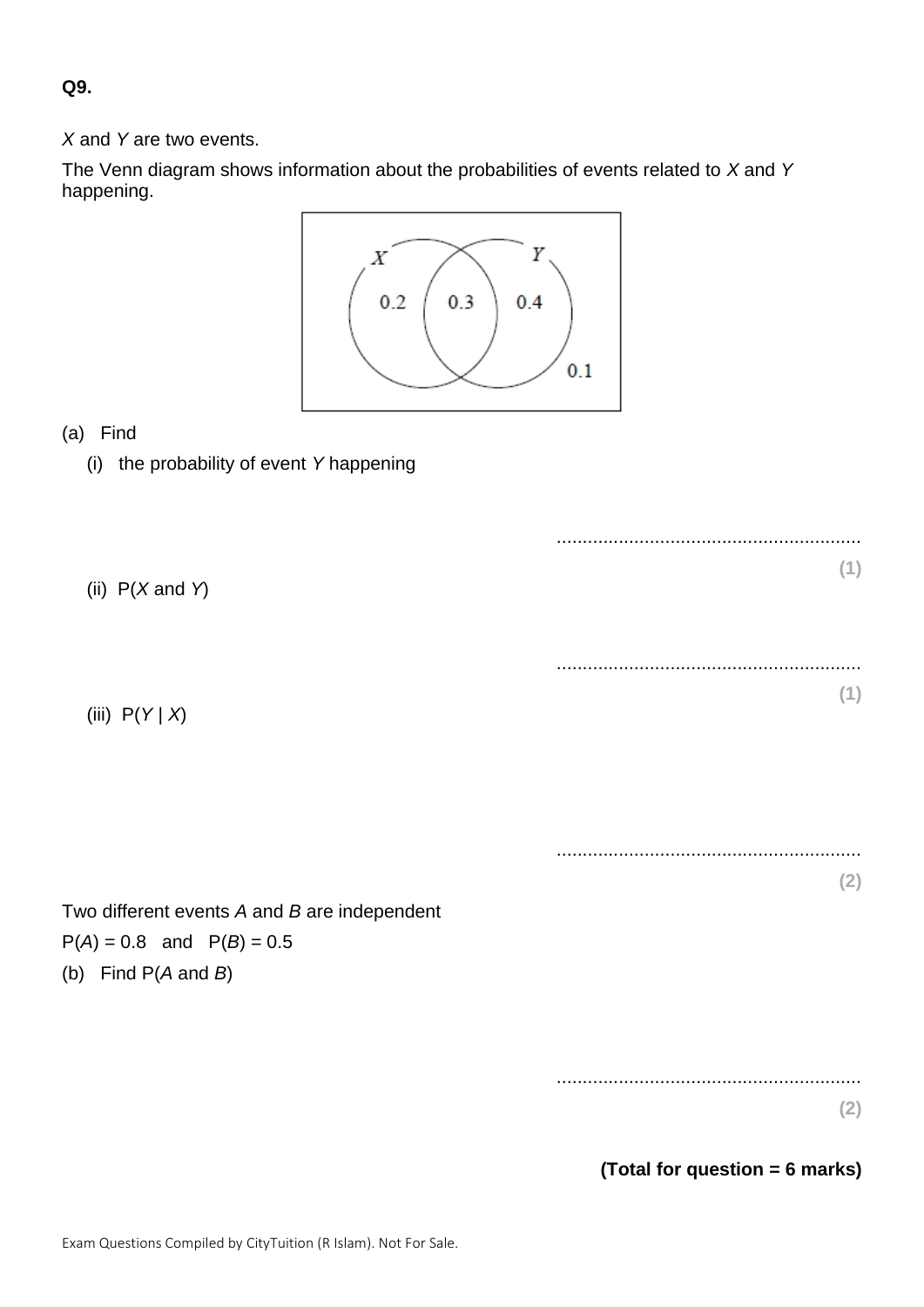**Q9.**

*X* and *Y* are two events.

The Venn diagram shows information about the probabilities of events related to *X* and *Y* happening.



## (a) Find

(i) the probability of event *Y* happening

........................................................... **(1)** (ii) P(*X* and *Y*) ........................................................... **(1)** (iii) P(*Y* | *X*) ........................................................... **(2)** Two different events *A* and *B* are independent  $P(A) = 0.8$  and  $P(B) = 0.5$ (b) Find P(*A* and *B*) ........................................................... **(2)**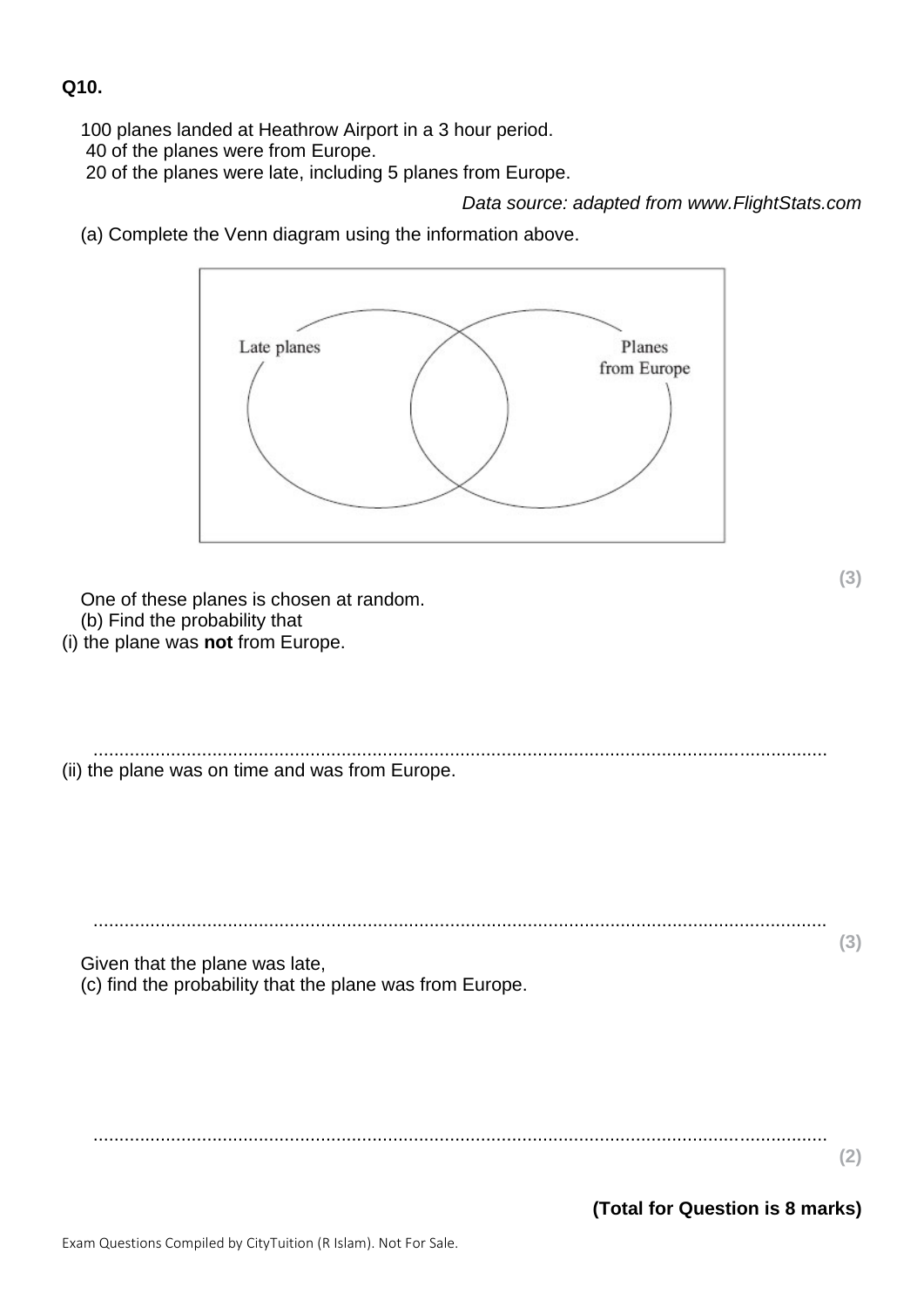#### **Q10.**

100 planes landed at Heathrow Airport in a 3 hour period.

40 of the planes were from Europe.

20 of the planes were late, including 5 planes from Europe.

*Data source: adapted from www.FlightStats.com*

(a) Complete the Venn diagram using the information above.

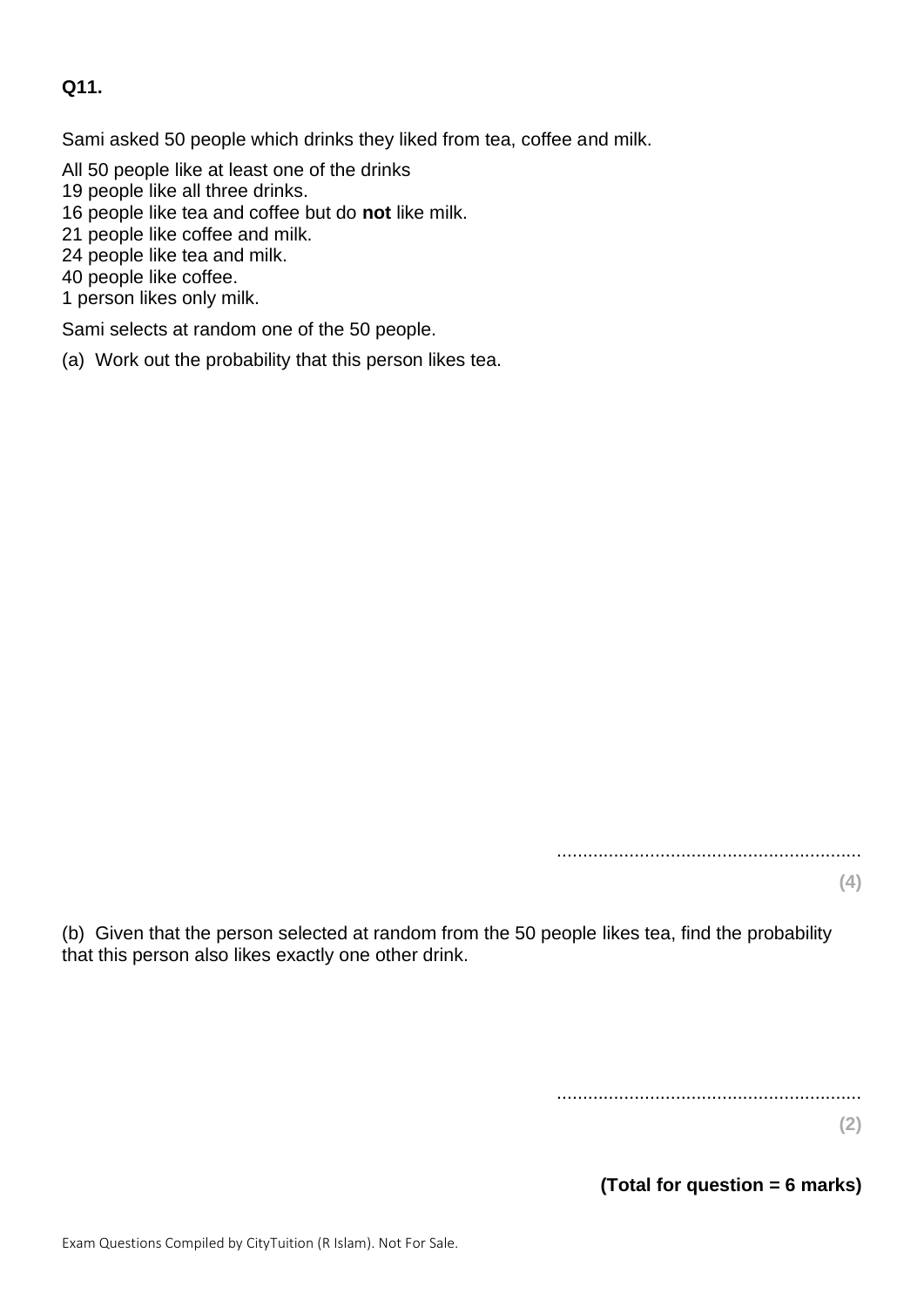### **Q11.**

Sami asked 50 people which drinks they liked from tea, coffee and milk.

- All 50 people like at least one of the drinks
- 19 people like all three drinks.
- 16 people like tea and coffee but do **not** like milk.
- 21 people like coffee and milk.
- 24 people like tea and milk.
- 40 people like coffee.
- 1 person likes only milk.

Sami selects at random one of the 50 people.

(a) Work out the probability that this person likes tea.

...........................................................

**(4)**

(b) Given that the person selected at random from the 50 people likes tea, find the probability that this person also likes exactly one other drink.

...........................................................

**(2)**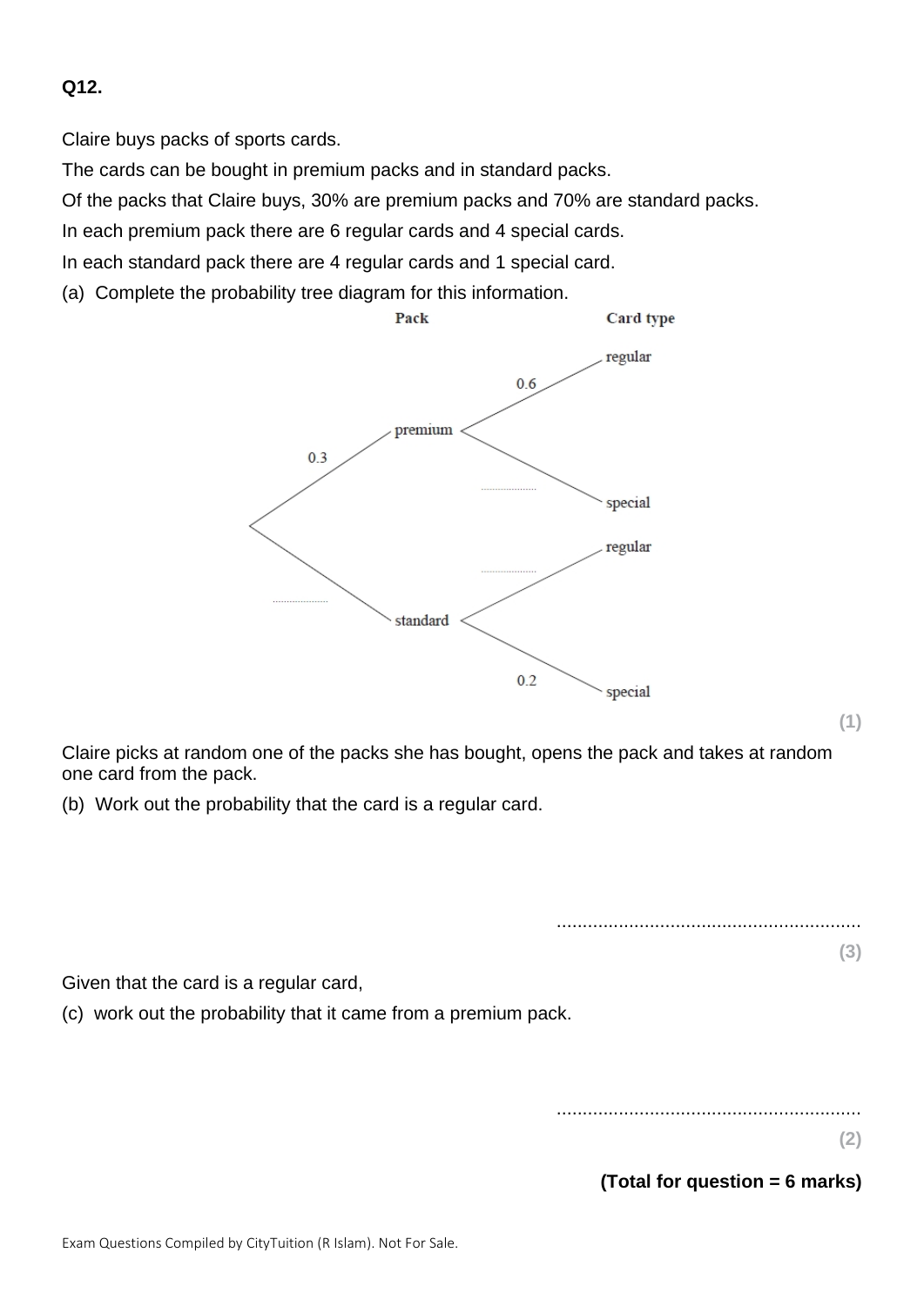## **Q12.**

Claire buys packs of sports cards.

The cards can be bought in premium packs and in standard packs.

Of the packs that Claire buys, 30% are premium packs and 70% are standard packs.

In each premium pack there are 6 regular cards and 4 special cards.

In each standard pack there are 4 regular cards and 1 special card.

(a) Complete the probability tree diagram for this information.



**(1)**

Claire picks at random one of the packs she has bought, opens the pack and takes at random one card from the pack.

(b) Work out the probability that the card is a regular card.

........................................................... **(3)**

Given that the card is a regular card,

(c) work out the probability that it came from a premium pack.

...........................................................

**(2)**